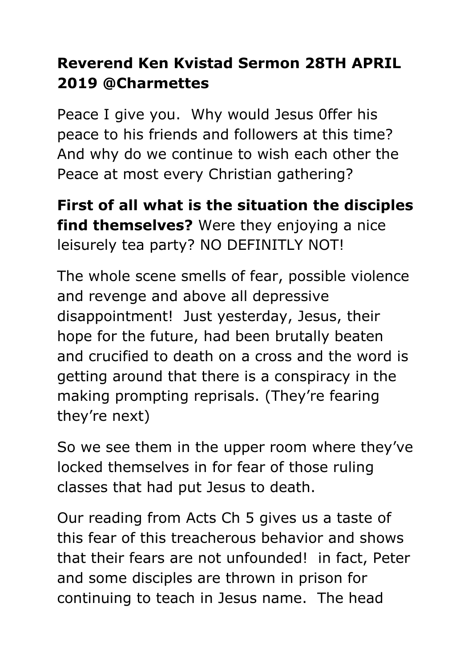## **Reverend Ken Kvistad Sermon 28TH APRIL 2019 @Charmettes**

Peace I give you. Why would Jesus 0ffer his peace to his friends and followers at this time? And why do we continue to wish each other the Peace at most every Christian gathering?

**First of all what is the situation the disciples find themselves?** Were they enjoying a nice leisurely tea party? NO DEFINITLY NOT!

The whole scene smells of fear, possible violence and revenge and above all depressive disappointment! Just yesterday, Jesus, their hope for the future, had been brutally beaten and crucified to death on a cross and the word is getting around that there is a conspiracy in the making prompting reprisals. (They're fearing they're next)

So we see them in the upper room where they've locked themselves in for fear of those ruling classes that had put Jesus to death.

Our reading from Acts Ch 5 gives us a taste of this fear of this treacherous behavior and shows that their fears are not unfounded! in fact, Peter and some disciples are thrown in prison for continuing to teach in Jesus name. The head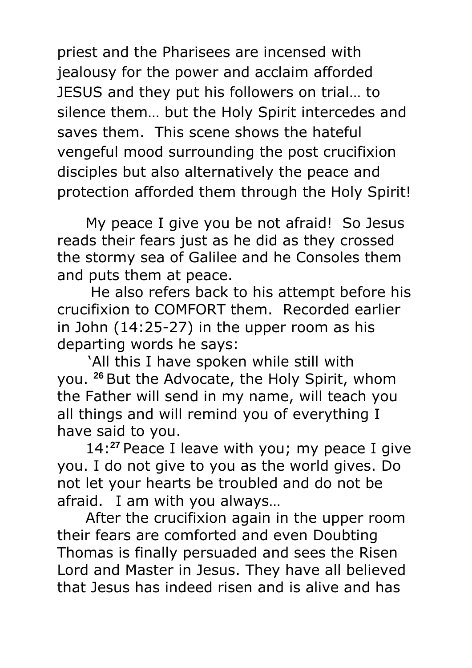priest and the Pharisees are incensed with jealousy for the power and acclaim afforded JESUS and they put his followers on trial… to silence them… but the Holy Spirit intercedes and saves them. This scene shows the hateful vengeful mood surrounding the post crucifixion disciples but also alternatively the peace and protection afforded them through the Holy Spirit!

My peace I give you be not afraid! So Jesus reads their fears just as he did as they crossed the stormy sea of Galilee and he Consoles them and puts them at peace.

He also refers back to his attempt before his crucifixion to COMFORT them. Recorded earlier in John (14:25-27) in the upper room as his departing words he says:

'All this I have spoken while still with you. **<sup>26</sup>** But the Advocate, the Holy Spirit, whom the Father will send in my name, will teach you all things and will remind you of everything I have said to you.

14:**<sup>27</sup>** Peace I leave with you; my peace I give you. I do not give to you as the world gives. Do not let your hearts be troubled and do not be afraid.I am with you always…

After the crucifixion again in the upper room their fears are comforted and even Doubting Thomas is finally persuaded and sees the Risen Lord and Master in Jesus. They have all believed that Jesus has indeed risen and is alive and has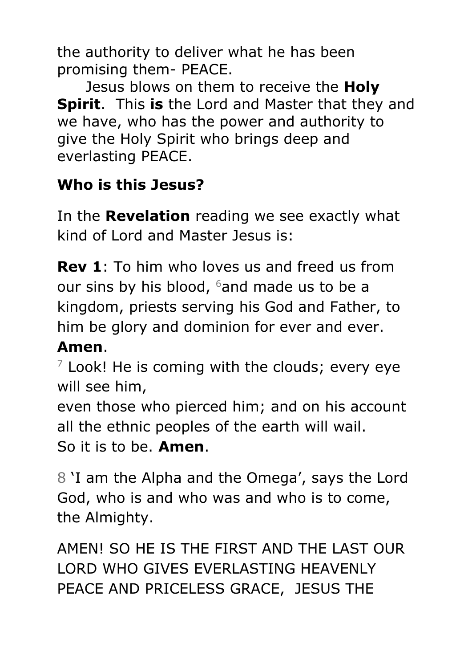the authority to deliver what he has been promising them- PEACE.

Jesus blows on them to receive the **Holy Spirit**. This **is** the Lord and Master that they and we have, who has the power and authority to give the Holy Spirit who brings deep and everlasting PEACE.

## **Who is this Jesus?**

In the **Revelation** reading we see exactly what kind of Lord and Master Jesus is:

**Rev 1**: To him who loves us and freed us from our sins by his blood,  $6$  and made us to be a kingdom, priests serving his God and Father, to him be glory and dominion for ever and ever.

## **Amen**.

 $7$  Look! He is coming with the clouds; every eye will see him,

even those who pierced him; and on his account all the ethnic peoples of the earth will wail.

So it is to be. **Amen**.

8 'I am the Alpha and the Omega', says the Lord God, who is and who was and who is to come, the Almighty.

AMEN! SO HE IS THE FIRST AND THE LAST OUR LORD WHO GIVES EVERLASTING HEAVENLY PEACE AND PRICELESS GRACE, JESUS THE